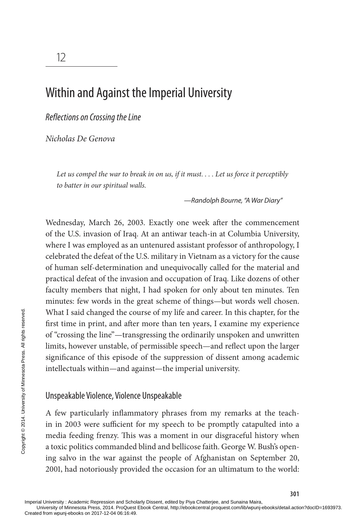Within and Against the Imperial University

# *Reflections on Crossing the Line*

*Nicholas De Genova*

12

*Let us compel the war to break in on us, if it must. . . . Let us force it perceptibly to batter in our spiritual walls.*

*—Randolph Bourne, "A War Diary"*

**301**

Wednesday, March 26, 2003. Exactly one week after the commencement of the U.S. invasion of Iraq. At an antiwar teach-in at Columbia University, where I was employed as an untenured assistant professor of anthropology, I celebrated the defeat of the U.S. military in Vietnam as a victory for the cause of human self-determination and unequivocally called for the material and practical defeat of the invasion and occupation of Iraq. Like dozens of other faculty members that night, I had spoken for only about ten minutes. Ten minutes: few words in the great scheme of things—but words well chosen. What I said changed the course of my life and career. In this chapter, for the first time in print, and after more than ten years, I examine my experience of "crossing the line"—transgressing the ordinarily unspoken and unwritten limits, however unstable, of permissible speech—and reflect upon the larger significance of this episode of the suppression of dissent among academic intellectuals within—and against—the imperial university.

#### Unspeakable Violence, Violence Unspeakable

A few particularly inflammatory phrases from my remarks at the teachin in 2003 were sufficient for my speech to be promptly catapulted into a media feeding frenzy. This was a moment in our disgraceful history when a toxic politics commanded blind and bellicose faith. George W. Bush's opening salvo in the war against the people of Afghanistan on September 20, 2001, had notoriously provided the occasion for an ultimatum to the world: What I said changed the co<br>first time in print, and after<br>of "crossing the line"—tran:<br>limits, however unstable, of<br>significance of this episode<br>intellectuals within—and ag<br>inficance of this episode<br>intellectuals within—an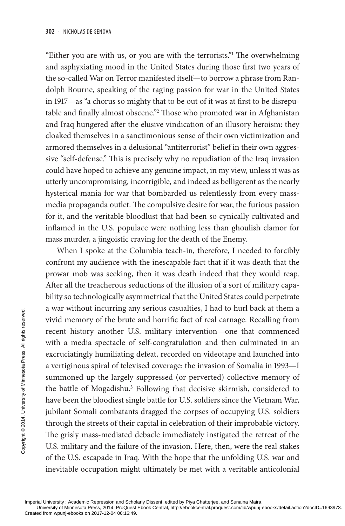"Either you are with us, or you are with the terrorists." The overwhelming and asphyxiating mood in the United States during those first two years of the so-called War on Terror manifested itself—to borrow a phrase from Randolph Bourne, speaking of the raging passion for war in the United States in 1917—as "a chorus so mighty that to be out of it was at first to be disreputable and finally almost obscene."2 Those who promoted war in Afghanistan and Iraq hungered after the elusive vindication of an illusory heroism: they cloaked themselves in a sanctimonious sense of their own victimization and armored themselves in a delusional "antiterrorist" belief in their own aggressive "self-defense." This is precisely why no repudiation of the Iraq invasion could have hoped to achieve any genuine impact, in my view, unless it was as utterly uncompromising, incorrigible, and indeed as belligerent as the nearly hysterical mania for war that bombarded us relentlessly from every massmedia propaganda outlet. The compulsive desire for war, the furious passion for it, and the veritable bloodlust that had been so cynically cultivated and inflamed in the U.S. populace were nothing less than ghoulish clamor for mass murder, a jingoistic craving for the death of the Enemy.

When I spoke at the Columbia teach-in, therefore, I needed to forcibly confront my audience with the inescapable fact that if it was death that the prowar mob was seeking, then it was death indeed that they would reap. After all the treacherous seductions of the illusion of a sort of military capability so technologically asymmetrical that the United States could perpetrate a war without incurring any serious casualties, I had to hurl back at them a vivid memory of the brute and horrific fact of real carnage. Recalling from recent history another U.S. military intervention—one that commenced with a media spectacle of self-congratulation and then culminated in an excruciatingly humiliating defeat, recorded on videotape and launched into a vertiginous spiral of televised coverage: the invasion of Somalia in 1993—I summoned up the largely suppressed (or perverted) collective memory of the battle of Mogadishu.<sup>3</sup> Following that decisive skirmish, considered to have been the bloodiest single battle for U.S. soldiers since the Vietnam War, jubilant Somali combatants dragged the corpses of occupying U.S. soldiers through the streets of their capital in celebration of their improbable victory. The grisly mass-mediated debacle immediately instigated the retreat of the U.S. military and the failure of the invasion. Here, then, were the real stakes of the U.S. escapade in Iraq. With the hope that the unfolding U.S. war and inevitable occupation might ultimately be met with a veritable anticolonial Experimental University : Academic Repression and Scholar<br>
Created from wpunj-ebooks on 2017-12-04 06:16:49.<br>
Created from wpunj-ebooks on 2017-12-04 06:16:49.<br>
Created from wpunj-ebooks on 2017-12-04 06:16:49.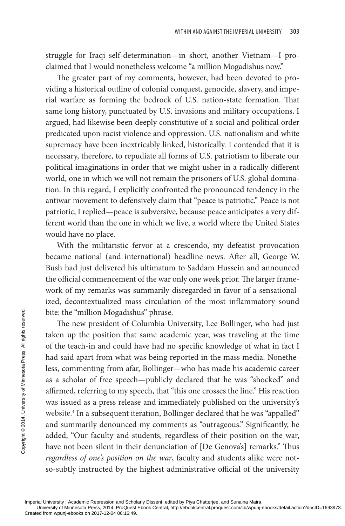struggle for Iraqi self-determination—in short, another Vietnam—I proclaimed that I would nonetheless welcome "a million Mogadishus now."

The greater part of my comments, however, had been devoted to providing a historical outline of colonial conquest, genocide, slavery, and imperial warfare as forming the bedrock of U.S. nation-state formation. That same long history, punctuated by U.S. invasions and military occupations, I argued, had likewise been deeply constitutive of a social and political order predicated upon racist violence and oppression. U.S. nationalism and white supremacy have been inextricably linked, historically. I contended that it is necessary, therefore, to repudiate all forms of U.S. patriotism to liberate our political imaginations in order that we might usher in a radically different world, one in which we will not remain the prisoners of U.S. global domination. In this regard, I explicitly confronted the pronounced tendency in the antiwar movement to defensively claim that "peace is patriotic." Peace is not patriotic, I replied—peace is subversive, because peace anticipates a very different world than the one in which we live, a world where the United States would have no place.

With the militaristic fervor at a crescendo, my defeatist provocation became national (and international) headline news. After all, George W. Bush had just delivered his ultimatum to Saddam Hussein and announced the official commencement of the war only one week prior. The larger framework of my remarks was summarily disregarded in favor of a sensationalized, decontextualized mass circulation of the most inflammatory sound bite: the "million Mogadishus" phrase.

The new president of Columbia University, Lee Bollinger, who had just taken up the position that same academic year, was traveling at the time of the teach-in and could have had no specific knowledge of what in fact I had said apart from what was being reported in the mass media. Nonetheless, commenting from afar, Bollinger—who has made his academic career as a scholar of free speech—publicly declared that he was "shocked" and affirmed, referring to my speech, that "this one crosses the line." His reaction was issued as a press release and immediately published on the university's website.4 In a subsequent iteration, Bollinger declared that he was "appalled" and summarily denounced my comments as "outrageous." Significantly, he added, "Our faculty and students, regardless of their position on the war, have not been silent in their denunciation of [De Genova's] remarks." Thus *regardless of one's position on the war*, faculty and students alike were notso-subtly instructed by the highest administrative official of the university Dreated from wpunj-ebooks on 2017-12-04 06:46:49.<br>
Created from wpunj-ebooks on 2017-12-04 06:16:49.<br>
Created from wpunj-ebooks on 2017-12-04 06:16:49.<br>
Created from wpunj-ebooks on 2017-12-04 06:16:49.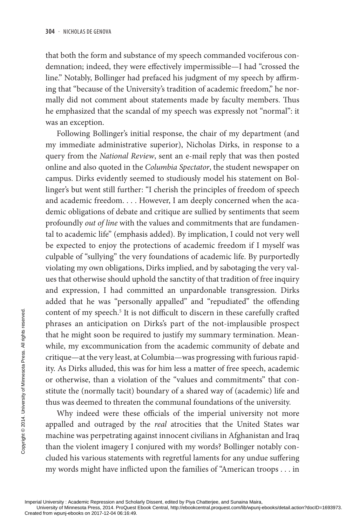that both the form and substance of my speech commanded vociferous condemnation; indeed, they were effectively impermissible—I had "crossed the line." Notably, Bollinger had prefaced his judgment of my speech by affirming that "because of the University's tradition of academic freedom," he normally did not comment about statements made by faculty members. Thus he emphasized that the scandal of my speech was expressly not "normal": it was an exception.

Following Bollinger's initial response, the chair of my department (and my immediate administrative superior), Nicholas Dirks, in response to a query from the *National Review*, sent an e-mail reply that was then posted online and also quoted in the *Columbia Spectator*, the student newspaper on campus. Dirks evidently seemed to studiously model his statement on Bollinger's but went still further: "I cherish the principles of freedom of speech and academic freedom. . . . However, I am deeply concerned when the academic obligations of debate and critique are sullied by sentiments that seem profoundly *out of line* with the values and commitments that are fundamental to academic life" (emphasis added). By implication, I could not very well be expected to enjoy the protections of academic freedom if I myself was culpable of "sullying" the very foundations of academic life. By purportedly violating my own obligations, Dirks implied, and by sabotaging the very values that otherwise should uphold the sanctity of that tradition of free inquiry and expression, I had committed an unpardonable transgression. Dirks added that he was "personally appalled" and "repudiated" the offending content of my speech.<sup>5</sup> It is not difficult to discern in these carefully crafted phrases an anticipation on Dirks's part of the not-implausible prospect that he might soon be required to justify my summary termination. Meanwhile, my excommunication from the academic community of debate and critique—at the very least, at Columbia—was progressing with furious rapidity. As Dirks alluded, this was for him less a matter of free speech, academic or otherwise, than a violation of the "values and commitments" that constitute the (normally tacit) boundary of a shared way of (academic) life and thus was deemed to threaten the communal foundations of the university. Created from wpunj-ebooks on 2017-12-04 06:46:49.<br>Created from wpuni-ebooks on 2017-12-04 06:46:49.<br>Created from wpunj-ebooks on 2017-12-04 06:46:49.<br>Created from wpunj-ebooks on 2017-12-04 06:46:49.

Why indeed were these officials of the imperial university not more appalled and outraged by the *real* atrocities that the United States war machine was perpetrating against innocent civilians in Afghanistan and Iraq than the violent imagery I conjured with my words? Bollinger notably concluded his various statements with regretful laments for any undue suffering my words might have inflicted upon the families of "American troops . . . in

Imperial University : Academic Repression and Scholarly Dissent, edited by Piya Chatterjee, and Sunaina Maira,<br>16thiversity of Minnesota Press, 2014. ProQuest Ebook Central, http://ebookcentral.proquest.com/lib/wpunj-ebook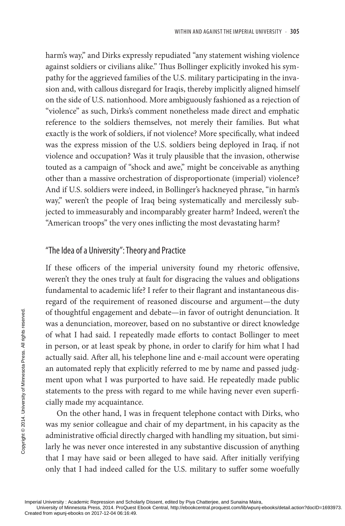harm's way," and Dirks expressly repudiated "any statement wishing violence against soldiers or civilians alike." Thus Bollinger explicitly invoked his sympathy for the aggrieved families of the U.S. military participating in the invasion and, with callous disregard for Iraqis, thereby implicitly aligned himself on the side of U.S. nationhood. More ambiguously fashioned as a rejection of "violence" as such, Dirks's comment nonetheless made direct and emphatic reference to the soldiers themselves, not merely their families. But what exactly is the work of soldiers, if not violence? More specifically, what indeed was the express mission of the U.S. soldiers being deployed in Iraq, if not violence and occupation? Was it truly plausible that the invasion, otherwise touted as a campaign of "shock and awe," might be conceivable as anything other than a massive orchestration of disproportionate (imperial) violence? And if U.S. soldiers were indeed, in Bollinger's hackneyed phrase, "in harm's way," weren't the people of Iraq being systematically and mercilessly subjected to immeasurably and incomparably greater harm? Indeed, weren't the "American troops" the very ones inflicting the most devastating harm?

#### "The Idea of a University": Theory and Practice

If these officers of the imperial university found my rhetoric offensive, weren't they the ones truly at fault for disgracing the values and obligations fundamental to academic life? I refer to their flagrant and instantaneous disregard of the requirement of reasoned discourse and argument—the duty of thoughtful engagement and debate—in favor of outright denunciation. It was a denunciation, moreover, based on no substantive or direct knowledge of what I had said. I repeatedly made efforts to contact Bollinger to meet in person, or at least speak by phone, in order to clarify for him what I had actually said. After all, his telephone line and e-mail account were operating an automated reply that explicitly referred to me by name and passed judgment upon what I was purported to have said. He repeatedly made public statements to the press with regard to me while having never even superficially made my acquaintance. From thoughtful engagement a<br>
was a denunciation, moreov<br>
of what I had said. I repea<br>
in person, or at least speak<br>
actually said. After all, his to<br>
an automated reply that exp<br>
ment upon what I was pur<br>
statements to t

On the other hand, I was in frequent telephone contact with Dirks, who was my senior colleague and chair of my department, in his capacity as the administrative official directly charged with handling my situation, but similarly he was never once interested in any substantive discussion of anything that I may have said or been alleged to have said. After initially verifying only that I had indeed called for the U.S. military to suffer some woefully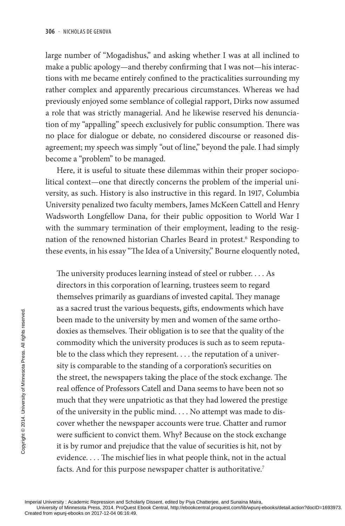large number of "Mogadishus," and asking whether I was at all inclined to make a public apology—and thereby confirming that I was not—his interactions with me became entirely confined to the practicalities surrounding my rather complex and apparently precarious circumstances. Whereas we had previously enjoyed some semblance of collegial rapport, Dirks now assumed a role that was strictly managerial. And he likewise reserved his denunciation of my "appalling" speech exclusively for public consumption. There was no place for dialogue or debate, no considered discourse or reasoned disagreement; my speech was simply "out of line," beyond the pale. I had simply become a "problem" to be managed.

Here, it is useful to situate these dilemmas within their proper sociopolitical context—one that directly concerns the problem of the imperial university, as such. History is also instructive in this regard. In 1917, Columbia University penalized two faculty members, James McKeen Cattell and Henry Wadsworth Longfellow Dana, for their public opposition to World War I with the summary termination of their employment, leading to the resignation of the renowned historian Charles Beard in protest.6 Responding to these events, in his essay "The Idea of a University," Bourne eloquently noted,

The university produces learning instead of steel or rubber. . . . As directors in this corporation of learning, trustees seem to regard themselves primarily as guardians of invested capital. They manage as a sacred trust the various bequests, gifts, endowments which have been made to the university by men and women of the same orthodoxies as themselves. Their obligation is to see that the quality of the commodity which the university produces is such as to seem reputable to the class which they represent. . . . the reputation of a university is comparable to the standing of a corporation's securities on the street, the newspapers taking the place of the stock exchange. The real offence of Professors Catell and Dana seems to have been not so much that they were unpatriotic as that they had lowered the prestige of the university in the public mind. . . . No attempt was made to discover whether the newspaper accounts were true. Chatter and rumor were sufficient to convict them. Why? Because on the stock exchange it is by rumor and prejudice that the value of securities is hit, not by evidence. . . . The mischief lies in what people think, not in the actual facts. And for this purpose newspaper chatter is authoritative.<sup>7</sup> Experimental University : Academic Repression and Scholar<br>Created from wpunj-ebooks on 2017-12-04 06:16:49.<br>Created from wpunj-ebooks on 2017-12-04 06:16:49.<br>Created from wpunj-ebooks on 2017-12-04 06:16:49.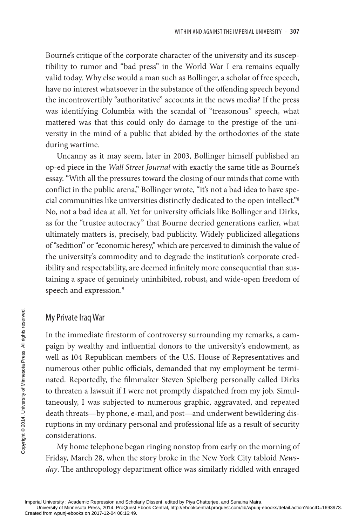Bourne's critique of the corporate character of the university and its susceptibility to rumor and "bad press" in the World War I era remains equally valid today. Why else would a man such as Bollinger, a scholar of free speech, have no interest whatsoever in the substance of the offending speech beyond the incontrovertibly "authoritative" accounts in the news media? If the press was identifying Columbia with the scandal of "treasonous" speech, what mattered was that this could only do damage to the prestige of the university in the mind of a public that abided by the orthodoxies of the state during wartime.

Uncanny as it may seem, later in 2003, Bollinger himself published an op-ed piece in the *Wall Street Journal* with exactly the same title as Bourne's essay. "With all the pressures toward the closing of our minds that come with conflict in the public arena," Bollinger wrote, "it's not a bad idea to have special communities like universities distinctly dedicated to the open intellect."8 No, not a bad idea at all. Yet for university officials like Bollinger and Dirks, as for the "trustee autocracy" that Bourne decried generations earlier, what ultimately matters is, precisely, bad publicity. Widely publicized allegations of "sedition" or "economic heresy," which are perceived to diminish the value of the university's commodity and to degrade the institution's corporate credibility and respectability, are deemed infinitely more consequential than sustaining a space of genuinely uninhibited, robust, and wide-open freedom of speech and expression.<sup>9</sup>

#### My Private Iraq War

In the immediate firestorm of controversy surrounding my remarks, a campaign by wealthy and influential donors to the university's endowment, as well as 104 Republican members of the U.S. House of Representatives and numerous other public officials, demanded that my employment be terminated. Reportedly, the filmmaker Steven Spielberg personally called Dirks to threaten a lawsuit if I were not promptly dispatched from my job. Simultaneously, I was subjected to numerous graphic, aggravated, and repeated death threats—by phone, e-mail, and post—and underwent bewildering disruptions in my ordinary personal and professional life as a result of security considerations. My Private Iraq War<br>  $\frac{1}{2}$  In the immediate firestorm<br>
paign by wealthy and influ<br>
well as 104 Republican mer<br>
numerous other public officanted.<br>
Reportedly, the film<br>
to threaten a lawsuit if I we<br>
taneously, I was s

My home telephone began ringing nonstop from early on the morning of Friday, March 28, when the story broke in the New York City tabloid *Newsday*. The anthropology department office was similarly riddled with enraged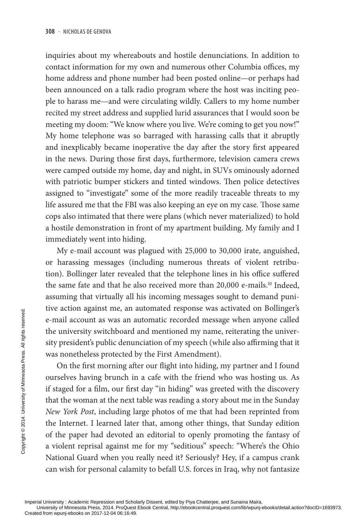inquiries about my whereabouts and hostile denunciations. In addition to contact information for my own and numerous other Columbia offices, my home address and phone number had been posted online—or perhaps had been announced on a talk radio program where the host was inciting people to harass me—and were circulating wildly. Callers to my home number recited my street address and supplied lurid assurances that I would soon be meeting my doom: "We know where you live. We're coming to get you now!" My home telephone was so barraged with harassing calls that it abruptly and inexplicably became inoperative the day after the story first appeared in the news. During those first days, furthermore, television camera crews were camped outside my home, day and night, in SUVs ominously adorned with patriotic bumper stickers and tinted windows. Then police detectives assigned to "investigate" some of the more readily traceable threats to my life assured me that the FBI was also keeping an eye on my case. Those same cops also intimated that there were plans (which never materialized) to hold a hostile demonstration in front of my apartment building. My family and I immediately went into hiding.

My e-mail account was plagued with 25,000 to 30,000 irate, anguished, or harassing messages (including numerous threats of violent retribution). Bollinger later revealed that the telephone lines in his office suffered the same fate and that he also received more than 20,000 e-mails.<sup>10</sup> Indeed, assuming that virtually all his incoming messages sought to demand punitive action against me, an automated response was activated on Bollinger's e-mail account as was an automatic recorded message when anyone called the university switchboard and mentioned my name, reiterating the university president's public denunciation of my speech (while also affirming that it was nonetheless protected by the First Amendment).

On the first morning after our flight into hiding, my partner and I found ourselves having brunch in a cafe with the friend who was hosting us. As if staged for a film, our first day "in hiding" was greeted with the discovery that the woman at the next table was reading a story about me in the Sunday *New York Post*, including large photos of me that had been reprinted from the Internet. I learned later that, among other things, that Sunday edition of the paper had devoted an editorial to openly promoting the fantasy of a violent reprisal against me for my "seditious" speech: "Where's the Ohio National Guard when you really need it? Seriously? Hey, if a campus crank can wish for personal calamity to befall U.S. forces in Iraq, why not fantasize Experience of the paper had devoted.<br>
Created from wpunj-ebooks on 2017-12-04 06:16:49.<br>
Created from wpunj-ebooks on 2017-12-04 06:16:49.<br>
Created from wpunj-ebooks on 2017-12-04 06:16:49.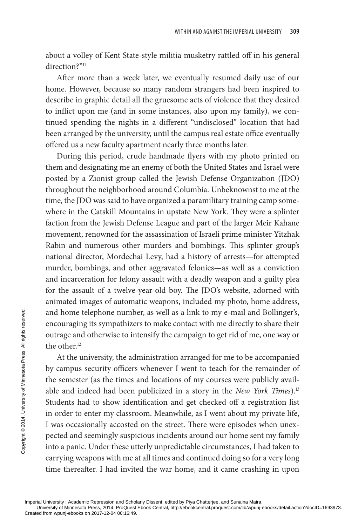about a volley of Kent State-style militia musketry rattled off in his general direction?"<sup>11</sup>

After more than a week later, we eventually resumed daily use of our home. However, because so many random strangers had been inspired to describe in graphic detail all the gruesome acts of violence that they desired to inflict upon me (and in some instances, also upon my family), we continued spending the nights in a different "undisclosed" location that had been arranged by the university, until the campus real estate office eventually offered us a new faculty apartment nearly three months later.

During this period, crude handmade flyers with my photo printed on them and designating me an enemy of both the United States and Israel were posted by a Zionist group called the Jewish Defense Organization (JDO) throughout the neighborhood around Columbia. Unbeknownst to me at the time, the JDO was said to have organized a paramilitary training camp somewhere in the Catskill Mountains in upstate New York. They were a splinter faction from the Jewish Defense League and part of the larger Meir Kahane movement, renowned for the assassination of Israeli prime minister Yitzhak Rabin and numerous other murders and bombings. This splinter group's national director, Mordechai Levy, had a history of arrests—for attempted murder, bombings, and other aggravated felonies—as well as a conviction and incarceration for felony assault with a deadly weapon and a guilty plea for the assault of a twelve-year-old boy. The JDO's website, adorned with animated images of automatic weapons, included my photo, home address, and home telephone number, as well as a link to my e-mail and Bollinger's, encouraging its sympathizers to make contact with me directly to share their outrage and otherwise to intensify the campaign to get rid of me, one way or the other.<sup>12</sup>

At the university, the administration arranged for me to be accompanied by campus security officers whenever I went to teach for the remainder of the semester (as the times and locations of my courses were publicly available and indeed had been publicized in a story in the *New York Times*).13 Students had to show identification and get checked off a registration list in order to enter my classroom. Meanwhile, as I went about my private life, I was occasionally accosted on the street. There were episodes when unexpected and seemingly suspicious incidents around our home sent my family into a panic. Under these utterly unpredictable circumstances, I had taken to carrying weapons with me at all times and continued doing so for a very long time thereafter. I had invited the war home, and it came crashing in upon Example the strengthene numb encouraging its sympathize<br>
example and otherwise to in<br>
the other.<sup>12</sup><br>
At the university, the ad<br>
by campus security officers<br>
the semester (as the times<br>
able and indeed had been<br>
Students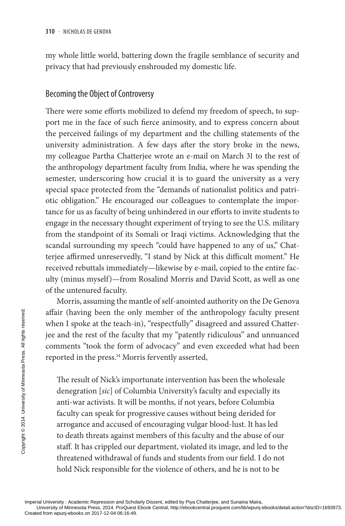my whole little world, battering down the fragile semblance of security and privacy that had previously enshrouded my domestic life.

## Becoming the Object of Controversy

There were some efforts mobilized to defend my freedom of speech, to support me in the face of such fierce animosity, and to express concern about the perceived failings of my department and the chilling statements of the university administration. A few days after the story broke in the news, my colleague Partha Chatterjee wrote an e-mail on March 31 to the rest of the anthropology department faculty from India, where he was spending the semester, underscoring how crucial it is to guard the university as a very special space protected from the "demands of nationalist politics and patriotic obligation." He encouraged our colleagues to contemplate the importance for us as faculty of being unhindered in our efforts to invite students to engage in the necessary thought experiment of trying to see the U.S. military from the standpoint of its Somali or Iraqi victims. Acknowledging that the scandal surrounding my speech "could have happened to any of us," Chatterjee affirmed unreservedly, "I stand by Nick at this difficult moment." He received rebuttals immediately—likewise by e-mail, copied to the entire faculty (minus myself)—from Rosalind Morris and David Scott, as well as one of the untenured faculty.

Morris, assuming the mantle of self-anointed authority on the De Genova affair (having been the only member of the anthropology faculty present when I spoke at the teach-in), "respectfully" disagreed and assured Chatterjee and the rest of the faculty that my "patently ridiculous" and unnuanced comments "took the form of advocacy" and even exceeded what had been reported in the press.<sup>14</sup> Morris fervently asserted,

The result of Nick's importunate intervention has been the wholesale denegration [*sic*] of Columbia University's faculty and especially its anti-war activists. It will be months, if not years, before Columbia faculty can speak for progressive causes without being derided for arrogance and accused of encouraging vulgar blood-lust. It has led to death threats against members of this faculty and the abuse of our staff. It has crippled our department, violated its image, and led to the threatened withdrawal of funds and students from our field. I do not hold Nick responsible for the violence of others, and he is not to be Example the only and the rest of the facult comments "took the form reported in the press.<sup>14</sup> More reported in the press.<sup>14</sup> More reported in the press.<sup>14</sup> More denegration [*sic*] of Columni-war activists. It will fac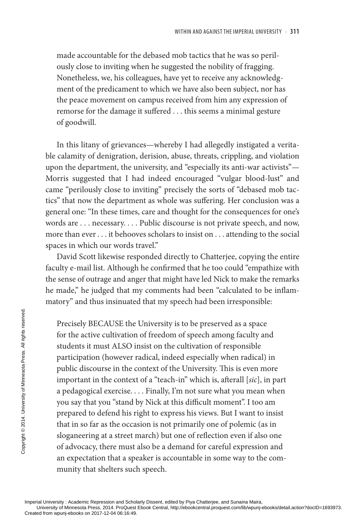made accountable for the debased mob tactics that he was so perilously close to inviting when he suggested the nobility of fragging. Nonetheless, we, his colleagues, have yet to receive any acknowledgment of the predicament to which we have also been subject, nor has the peace movement on campus received from him any expression of remorse for the damage it suffered . . . this seems a minimal gesture of goodwill.

In this litany of grievances—whereby I had allegedly instigated a veritable calamity of denigration, derision, abuse, threats, crippling, and violation upon the department, the university, and "especially its anti-war activists"— Morris suggested that I had indeed encouraged "vulgar blood-lust" and came "perilously close to inviting" precisely the sorts of "debased mob tactics" that now the department as whole was suffering. Her conclusion was a general one: "In these times, care and thought for the consequences for one's words are . . . necessary. . . . Public discourse is not private speech, and now, more than ever . . . it behooves scholars to insist on . . . attending to the social spaces in which our words travel."

David Scott likewise responded directly to Chatterjee, copying the entire faculty e-mail list. Although he confirmed that he too could "empathize with the sense of outrage and anger that might have led Nick to make the remarks he made," he judged that my comments had been "calculated to be inflammatory" and thus insinuated that my speech had been irresponsible:

Precisely BECAUSE the University is to be preserved as a space for the active cultivation of freedom of speech among faculty and students it must ALSO insist on the cultivation of responsible participation (however radical, indeed especially when radical) in public discourse in the context of the University. This is even more important in the context of a "teach-in" which is, afterall [*sic*], in part a pedagogical exercise. . . . Finally, I'm not sure what you mean when you say that you "stand by Nick at this difficult moment". I too am prepared to defend his right to express his views. But I want to insist that in so far as the occasion is not primarily one of polemic (as in sloganeering at a street march) but one of reflection even if also one of advocacy, there must also be a demand for careful expression and an expectation that a speaker is accountable in some way to the community that shelters such speech. Exercisely BECAUSE the<br>
for the active cultivation<br>
students it must ALSO is<br>
participation (however r<br>
public discourse in the c<br>
important in the context<br>
a pedagogical exercise. .<br>
you say that you "stand l<br>
prepared t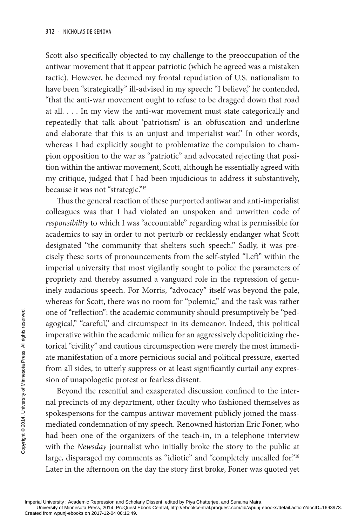Scott also specifically objected to my challenge to the preoccupation of the antiwar movement that it appear patriotic (which he agreed was a mistaken tactic). However, he deemed my frontal repudiation of U.S. nationalism to have been "strategically" ill-advised in my speech: "I believe," he contended, "that the anti-war movement ought to refuse to be dragged down that road at all. . . . In my view the anti-war movement must state categorically and repeatedly that talk about 'patriotism' is an obfuscation and underline and elaborate that this is an unjust and imperialist war." In other words, whereas I had explicitly sought to problematize the compulsion to champion opposition to the war as "patriotic" and advocated rejecting that position within the antiwar movement, Scott, although he essentially agreed with my critique, judged that I had been injudicious to address it substantively, because it was not "strategic."15

Thus the general reaction of these purported antiwar and anti-imperialist colleagues was that I had violated an unspoken and unwritten code of *responsibility* to which I was "accountable" regarding what is permissible for academics to say in order to not perturb or recklessly endanger what Scott designated "the community that shelters such speech." Sadly, it was precisely these sorts of pronouncements from the self-styled "Left" within the imperial university that most vigilantly sought to police the parameters of propriety and thereby assumed a vanguard role in the repression of genuinely audacious speech. For Morris, "advocacy" itself was beyond the pale, whereas for Scott, there was no room for "polemic," and the task was rather one of "reflection": the academic community should presumptively be "pedagogical," "careful," and circumspect in its demeanor. Indeed, this political imperative within the academic milieu for an aggressively depoliticizing rhetorical "civility" and cautious circumspection were merely the most immediate manifestation of a more pernicious social and political pressure, exerted from all sides, to utterly suppress or at least significantly curtail any expression of unapologetic protest or fearless dissent.

Beyond the resentful and exasperated discussion confined to the internal precincts of my department, other faculty who fashioned themselves as spokespersons for the campus antiwar movement publicly joined the massmediated condemnation of my speech. Renowned historian Eric Foner, who had been one of the organizers of the teach-in, in a telephone interview with the *Newsday* journalist who initially broke the story to the public at large, disparaged my comments as "idiotic" and "completely uncalled for."16 Later in the afternoon on the day the story first broke, Foner was quoted yet The inducersity of Minnesota Press, 2014. Previewed Created from wpunj-ebooks on 2017-12-04 06:16:49.<br>Created from wpunj-ebooks on 2017-12-04 06:16:49.<br>Created from wpunj-ebooks on 2017-12-04 06:16:49.<br>Created from wpunj-

Imperial University : Academic Repression and Scholarly Dissent, edited by Piya Chatterjee, and Sunaina Maira,<br>16thiversity of Minnesota Press, 2014. ProQuest Ebook Central, http://ebookcentral.proquest.com/lib/wpunj-ebook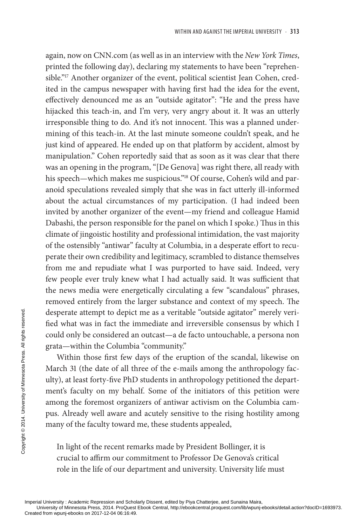again, now on CNN.com (as well as in an interview with the *New York Times*, printed the following day), declaring my statements to have been "reprehensible."<sup>17</sup> Another organizer of the event, political scientist Jean Cohen, credited in the campus newspaper with having first had the idea for the event, effectively denounced me as an "outside agitator": "He and the press have hijacked this teach-in, and I'm very, very angry about it. It was an utterly irresponsible thing to do. And it's not innocent. This was a planned undermining of this teach-in. At the last minute someone couldn't speak, and he just kind of appeared. He ended up on that platform by accident, almost by manipulation." Cohen reportedly said that as soon as it was clear that there was an opening in the program, "[De Genova] was right there, all ready with his speech—which makes me suspicious."<sup>18</sup> Of course, Cohen's wild and paranoid speculations revealed simply that she was in fact utterly ill-informed about the actual circumstances of my participation. (I had indeed been invited by another organizer of the event—my friend and colleague Hamid Dabashi, the person responsible for the panel on which I spoke.) Thus in this climate of jingoistic hostility and professional intimidation, the vast majority of the ostensibly "antiwar" faculty at Columbia, in a desperate effort to recuperate their own credibility and legitimacy, scrambled to distance themselves from me and repudiate what I was purported to have said. Indeed, very few people ever truly knew what I had actually said. It was sufficient that the news media were energetically circulating a few "scandalous" phrases, removed entirely from the larger substance and context of my speech. The desperate attempt to depict me as a veritable "outside agitator" merely verified what was in fact the immediate and irreversible consensus by which I could only be considered an outcast—a de facto untouchable, a persona non grata—within the Columbia "community."

Within those first few days of the eruption of the scandal, likewise on March 31 (the date of all three of the e-mails among the anthropology faculty), at least forty-five PhD students in anthropology petitioned the department's faculty on my behalf. Some of the initiators of this petition were among the foremost organizers of antiwar activism on the Columbia campus. Already well aware and acutely sensitive to the rising hostility among many of the faculty toward me, these students appealed, Exercise the move of the faculty to depict<br>
Exercise the columbia<br>
Exercise the columbia Within those first few complete<br>
March 31 (the date of all the ulty), at least forty-five PhD<br>
ment's faculty on my beha<br>
among the f

In light of the recent remarks made by President Bollinger, it is crucial to affirm our commitment to Professor De Genova's critical role in the life of our department and university. University life must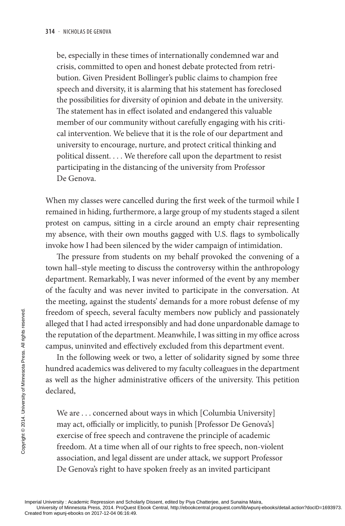be, especially in these times of internationally condemned war and crisis, committed to open and honest debate protected from retribution. Given President Bollinger's public claims to champion free speech and diversity, it is alarming that his statement has foreclosed the possibilities for diversity of opinion and debate in the university. The statement has in effect isolated and endangered this valuable member of our community without carefully engaging with his critical intervention. We believe that it is the role of our department and university to encourage, nurture, and protect critical thinking and political dissent. . . . We therefore call upon the department to resist participating in the distancing of the university from Professor De Genova.

When my classes were cancelled during the first week of the turmoil while I remained in hiding, furthermore, a large group of my students staged a silent protest on campus, sitting in a circle around an empty chair representing my absence, with their own mouths gagged with U.S. flags to symbolically invoke how I had been silenced by the wider campaign of intimidation.

The pressure from students on my behalf provoked the convening of a town hall–style meeting to discuss the controversy within the anthropology department. Remarkably, I was never informed of the event by any member of the faculty and was never invited to participate in the conversation. At the meeting, against the students' demands for a more robust defense of my freedom of speech, several faculty members now publicly and passionately alleged that I had acted irresponsibly and had done unpardonable damage to the reputation of the department. Meanwhile, I was sitting in my office across campus, uninvited and effectively excluded from this department event.

In the following week or two, a letter of solidarity signed by some three hundred academics was delivered to my faculty colleagues in the department as well as the higher administrative officers of the university. This petition declared,

We are ... concerned about ways in which [Columbia University] may act, officially or implicitly, to punish [Professor De Genova's] exercise of free speech and contravene the principle of academic freedom. At a time when all of our rights to free speech, non-violent association, and legal dissent are under attack, we support Professor De Genova's right to have spoken freely as an invited participant Freedom of speech, several<br>alleged that I had acted irre:<br>the reputation of the depart<br>campus, uninvited and effect<br>in the following week of<br>hundred academics was del-<br>as well as the higher admin<br>declared,<br> $\frac{1}{20}$  We ar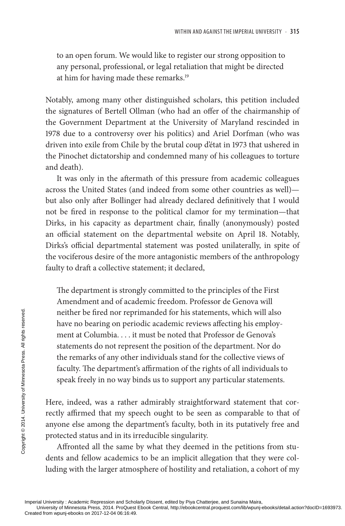to an open forum. We would like to register our strong opposition to any personal, professional, or legal retaliation that might be directed at him for having made these remarks.<sup>19</sup>

Notably, among many other distinguished scholars, this petition included the signatures of Bertell Ollman (who had an offer of the chairmanship of the Government Department at the University of Maryland rescinded in 1978 due to a controversy over his politics) and Ariel Dorfman (who was driven into exile from Chile by the brutal coup d'état in 1973 that ushered in the Pinochet dictatorship and condemned many of his colleagues to torture and death).

It was only in the aftermath of this pressure from academic colleagues across the United States (and indeed from some other countries as well) but also only after Bollinger had already declared definitively that I would not be fired in response to the political clamor for my termination—that Dirks, in his capacity as department chair, finally (anonymously) posted an official statement on the departmental website on April 18. Notably, Dirks's official departmental statement was posted unilaterally, in spite of the vociferous desire of the more antagonistic members of the anthropology faulty to draft a collective statement; it declared,

The department is strongly committed to the principles of the First Amendment and of academic freedom. Professor de Genova will neither be fired nor reprimanded for his statements, which will also have no bearing on periodic academic reviews affecting his employment at Columbia. . . . it must be noted that Professor de Genova's statements do not represent the position of the department. Nor do the remarks of any other individuals stand for the collective views of faculty. The department's affirmation of the rights of all individuals to speak freely in no way binds us to support any particular statements. The most of mini-ebooks on 2017-12-04 06:16:49.<br>
Created from wpunj-ebooks on 2017-12-04 06:16:49.<br>
Created from wpunj-ebooks on 2017-12-04 06:16:49.<br>
Created from wpunj-ebooks on 2017-12-04 06:16:49.

Here, indeed, was a rather admirably straightforward statement that correctly affirmed that my speech ought to be seen as comparable to that of anyone else among the department's faculty, both in its putatively free and protected status and in its irreducible singularity.

Affronted all the same by what they deemed in the petitions from students and fellow academics to be an implicit allegation that they were colluding with the larger atmosphere of hostility and retaliation, a cohort of my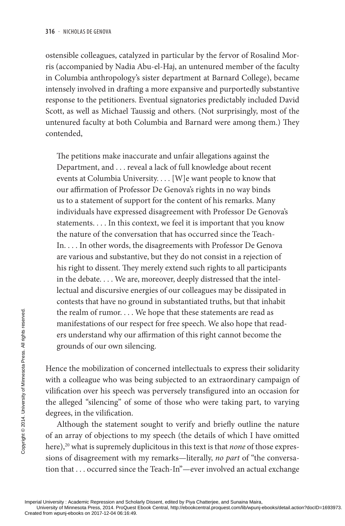ostensible colleagues, catalyzed in particular by the fervor of Rosalind Morris (accompanied by Nadia Abu-el-Haj, an untenured member of the faculty in Columbia anthropology's sister department at Barnard College), became intensely involved in drafting a more expansive and purportedly substantive response to the petitioners. Eventual signatories predictably included David Scott, as well as Michael Taussig and others. (Not surprisingly, most of the untenured faculty at both Columbia and Barnard were among them.) They contended,

The petitions make inaccurate and unfair allegations against the Department, and . . . reveal a lack of full knowledge about recent events at Columbia University. . . . [W]e want people to know that our affirmation of Professor De Genova's rights in no way binds us to a statement of support for the content of his remarks. Many individuals have expressed disagreement with Professor De Genova's statements. . . . In this context, we feel it is important that you know the nature of the conversation that has occurred since the Teach-In. . . . In other words, the disagreements with Professor De Genova are various and substantive, but they do not consist in a rejection of his right to dissent. They merely extend such rights to all participants in the debate. . . . We are, moreover, deeply distressed that the intellectual and discursive energies of our colleagues may be dissipated in contests that have no ground in substantiated truths, but that inhabit the realm of rumor. . . . We hope that these statements are read as manifestations of our respect for free speech. We also hope that readers understand why our affirmation of this right cannot become the grounds of our own silencing.

Hence the mobilization of concerned intellectuals to express their solidarity with a colleague who was being subjected to an extraordinary campaign of vilification over his speech was perversely transfigured into an occasion for the alleged "silencing" of some of those who were taking part, to varying degrees, in the vilification. The realm of rumor.....<br>
manifestations of our re:<br>
ers understand why our<br>
grounds of our own sile:<br>  $\frac{25}{5}$ <br>
Hence the mobilization of c<br>
with a colleague who was b<br>
vilification over his speech<br>
the alleged "silenci

Although the statement sought to verify and briefly outline the nature of an array of objections to my speech (the details of which I have omitted here),<sup>20</sup> what is supremely duplicitous in this text is that *none* of those expressions of disagreement with my remarks—literally, *no part* of "the conversation that . . . occurred since the Teach-In"—ever involved an actual exchange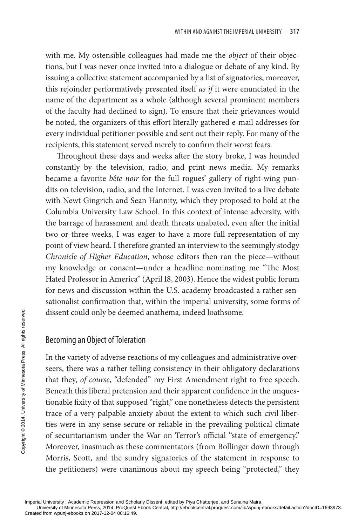with me. My ostensible colleagues had made me the *object* of their objections, but I was never once invited into a dialogue or debate of any kind. By issuing a collective statement accompanied by a list of signatories, moreover, this rejoinder performatively presented itself *as if* it were enunciated in the name of the department as a whole (although several prominent members of the faculty had declined to sign). To ensure that their grievances would be noted, the organizers of this effort literally gathered e-mail addresses for every individual petitioner possible and sent out their reply. For many of the recipients, this statement served merely to confirm their worst fears.

Throughout these days and weeks after the story broke, I was hounded constantly by the television, radio, and print news media. My remarks became a favorite *bête noir* for the full rogues' gallery of right-wing pundits on television, radio, and the Internet. I was even invited to a live debate with Newt Gingrich and Sean Hannity, which they proposed to hold at the Columbia University Law School. In this context of intense adversity, with the barrage of harassment and death threats unabated, even after the initial two or three weeks, I was eager to have a more full representation of my point of view heard. I therefore granted an interview to the seemingly stodgy *Chronicle of Higher Education*, whose editors then ran the piece—without my knowledge or consent—under a headline nominating me "The Most Hated Professor in America" (April 18, 2003). Hence the widest public forum for news and discussion within the U.S. academy broadcasted a rather sensationalist confirmation that, within the imperial university, some forms of dissent could only be deemed anathema, indeed loathsome.

## Becoming an Object of Toleration

In the variety of adverse reactions of my colleagues and administrative overseers, there was a rather telling consistency in their obligatory declarations that they, *of course*, "defended" my First Amendment right to free speech. Beneath this liberal pretension and their apparent confidence in the unquestionable fixity of that supposed "right," one nonetheless detects the persistent trace of a very palpable anxiety about the extent to which such civil liberties were in any sense secure or reliable in the prevailing political climate of securitarianism under the War on Terror's official "state of emergency." Moreover, inasmuch as these commentators (from Bollinger down through Morris, Scott, and the sundry signatories of the statement in response to the petitioners) were unanimous about my speech being "protected," they Created from wpunj-ebooks on 2017-12-04 06:46:49<br>Created from wpunj-ebooks on 2017-12-04 06:46:49<br>Created from wpunj-ebooks on 2017-12-04 06:46:49<br>Created from wpunj-ebooks on 2017-12-04 06:46:49<br>Created from wpunj-ebooks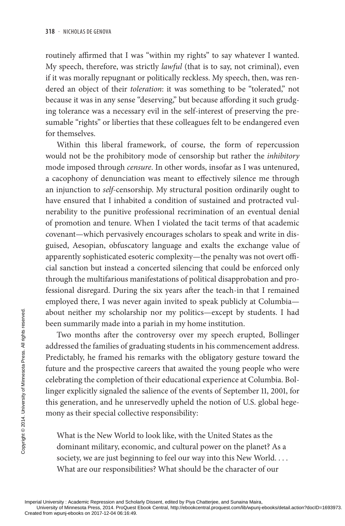routinely affirmed that I was "within my rights" to say whatever I wanted. My speech, therefore, was strictly *lawful* (that is to say, not criminal), even if it was morally repugnant or politically reckless. My speech, then, was rendered an object of their *toleration*: it was something to be "tolerated," not because it was in any sense "deserving," but because affording it such grudging tolerance was a necessary evil in the self-interest of preserving the presumable "rights" or liberties that these colleagues felt to be endangered even for themselves.

Within this liberal framework, of course, the form of repercussion would not be the prohibitory mode of censorship but rather the *inhibitory* mode imposed through *censure*. In other words, insofar as I was untenured, a cacophony of denunciation was meant to effectively silence me through an injunction to *self-*censorship. My structural position ordinarily ought to have ensured that I inhabited a condition of sustained and protracted vulnerability to the punitive professional recrimination of an eventual denial of promotion and tenure. When I violated the tacit terms of that academic covenant—which pervasively encourages scholars to speak and write in disguised, Aesopian, obfuscatory language and exalts the exchange value of apparently sophisticated esoteric complexity—the penalty was not overt official sanction but instead a concerted silencing that could be enforced only through the multifarious manifestations of political disapprobation and professional disregard. During the six years after the teach-in that I remained employed there, I was never again invited to speak publicly at Columbia about neither my scholarship nor my politics—except by students. I had been summarily made into a pariah in my home institution.

Two months after the controversy over my speech erupted, Bollinger addressed the families of graduating students in his commencement address. Predictably, he framed his remarks with the obligatory gesture toward the future and the prospective careers that awaited the young people who were celebrating the completion of their educational experience at Columbia. Bollinger explicitly signaled the salience of the events of September 11, 2001, for this generation, and he unreservedly upheld the notion of U.S. global hegemony as their special collective responsibility: Been summarily made into<br>
Leen summarily made into<br>
Two months after the<br>
addressed the families of gr:<br>
Predictably, he framed his<br>
future and the prospective<br>
celebrating the completion<br>
linger explicitly signaled the<br>

What is the New World to look like, with the United States as the dominant military, economic, and cultural power on the planet? As a society, we are just beginning to feel our way into this New World. . . . What are our responsibilities? What should be the character of our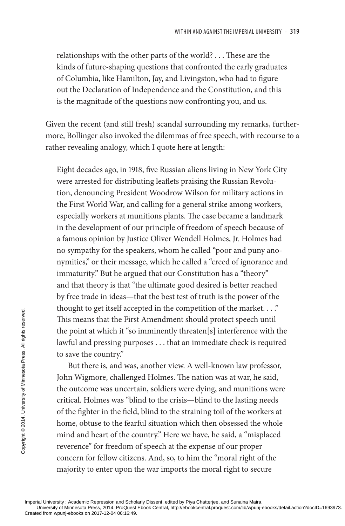relationships with the other parts of the world? . . . These are the kinds of future-shaping questions that confronted the early graduates of Columbia, like Hamilton, Jay, and Livingston, who had to figure out the Declaration of Independence and the Constitution, and this is the magnitude of the questions now confronting you, and us.

Given the recent (and still fresh) scandal surrounding my remarks, furthermore, Bollinger also invoked the dilemmas of free speech, with recourse to a rather revealing analogy, which I quote here at length:

Eight decades ago, in 1918, five Russian aliens living in New York City were arrested for distributing leaflets praising the Russian Revolution, denouncing President Woodrow Wilson for military actions in the First World War, and calling for a general strike among workers, especially workers at munitions plants. The case became a landmark in the development of our principle of freedom of speech because of a famous opinion by Justice Oliver Wendell Holmes, Jr. Holmes had no sympathy for the speakers, whom he called "poor and puny anonymities," or their message, which he called a "creed of ignorance and immaturity." But he argued that our Constitution has a "theory" and that theory is that "the ultimate good desired is better reached by free trade in ideas—that the best test of truth is the power of the thought to get itself accepted in the competition of the market...." This means that the First Amendment should protect speech until the point at which it "so imminently threaten[s] interference with the lawful and pressing purposes . . . that an immediate check is required to save the country."

But there is, and was, another view. A well-known law professor, John Wigmore, challenged Holmes. The nation was at war, he said, the outcome was uncertain, soldiers were dying, and munitions were critical. Holmes was "blind to the crisis—blind to the lasting needs of the fighter in the field, blind to the straining toil of the workers at home, obtuse to the fearful situation which then obsessed the whole mind and heart of the country." Here we have, he said, a "misplaced reverence" for freedom of speech at the expense of our proper concern for fellow citizens. And, so, to him the "moral right of the majority to enter upon the war imports the moral right to secure Exercise the point of the First the Pirst the point of which it "so lawful and pressing purp to save the country."<br>
But there is, and was John Wigmore, challeng<br>
the outcome was uncert critical. Holmes was "blist of the fi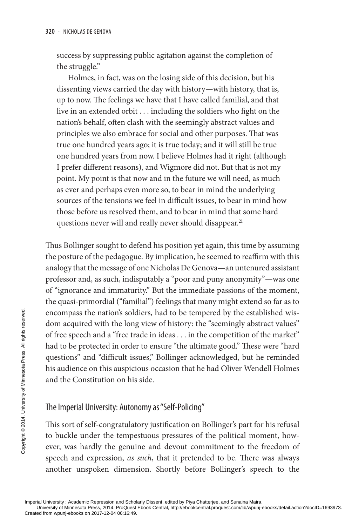success by suppressing public agitation against the completion of the struggle."

Holmes, in fact, was on the losing side of this decision, but his dissenting views carried the day with history—with history, that is, up to now. The feelings we have that I have called familial, and that live in an extended orbit . . . including the soldiers who fight on the nation's behalf, often clash with the seemingly abstract values and principles we also embrace for social and other purposes. That was true one hundred years ago; it is true today; and it will still be true one hundred years from now. I believe Holmes had it right (although I prefer different reasons), and Wigmore did not. But that is not my point. My point is that now and in the future we will need, as much as ever and perhaps even more so, to bear in mind the underlying sources of the tensions we feel in difficult issues, to bear in mind how those before us resolved them, and to bear in mind that some hard questions never will and really never should disappear.<sup>21</sup>

Thus Bollinger sought to defend his position yet again, this time by assuming the posture of the pedagogue. By implication, he seemed to reaffirm with this analogy that the message of one Nicholas De Genova—an untenured assistant professor and, as such, indisputably a "poor and puny anonymity"—was one of "ignorance and immaturity." But the immediate passions of the moment, the quasi-primordial ("familial") feelings that many might extend so far as to encompass the nation's soldiers, had to be tempered by the established wisdom acquired with the long view of history: the "seemingly abstract values" of free speech and a "free trade in ideas . . . in the competition of the market" had to be protected in order to ensure "the ultimate good." These were "hard questions" and "difficult issues," Bollinger acknowledged, but he reminded his audience on this auspicious occasion that he had Oliver Wendell Holmes and the Constitution on his side. Example 11 University : Academic Repression and School<br>Created from wpunj-ebooks on 2017-12-04 06:16:49.<br>Created from wpunj-ebooks on 2017-12-04 06:16:49.<br>Created from wpunj-ebooks on 2017-12-04 06:16:49.

## The Imperial University: Autonomy as "Self-Policing"

This sort of self-congratulatory justification on Bollinger's part for his refusal to buckle under the tempestuous pressures of the political moment, however, was hardly the genuine and devout commitment to the freedom of speech and expression, *as such*, that it pretended to be. There was always another unspoken dimension. Shortly before Bollinger's speech to the

Imperial University : Academic Repression and Scholarly Dissent, edited by Piya Chatterjee, and Sunaina Maira,<br>16thiversity of Minnesota Press, 2014. ProQuest Ebook Central, http://ebookcentral.proquest.com/lib/wpunj-ebook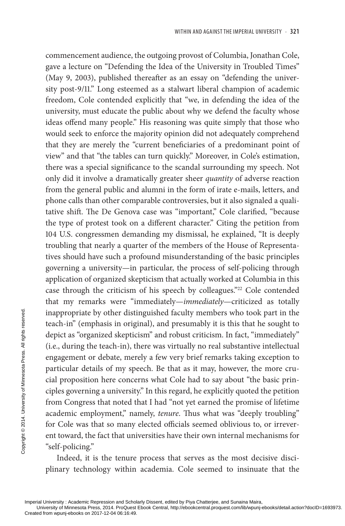commencement audience, the outgoing provost of Columbia, Jonathan Cole, gave a lecture on "Defending the Idea of the University in Troubled Times" (May 9, 2003), published thereafter as an essay on "defending the university post-9/11." Long esteemed as a stalwart liberal champion of academic freedom, Cole contended explicitly that "we, in defending the idea of the university, must educate the public about why we defend the faculty whose ideas offend many people." His reasoning was quite simply that those who would seek to enforce the majority opinion did not adequately comprehend that they are merely the "current beneficiaries of a predominant point of view" and that "the tables can turn quickly." Moreover, in Cole's estimation, there was a special significance to the scandal surrounding my speech. Not only did it involve a dramatically greater sheer *quantity* of adverse reaction from the general public and alumni in the form of irate e-mails, letters, and phone calls than other comparable controversies, but it also signaled a qualitative shift. The De Genova case was "important," Cole clarified, "because the type of protest took on a different character." Citing the petition from 104 U.S. congressmen demanding my dismissal, he explained, "It is deeply troubling that nearly a quarter of the members of the House of Representatives should have such a profound misunderstanding of the basic principles governing a university—in particular, the process of self-policing through application of organized skepticism that actually worked at Columbia in this case through the criticism of his speech by colleagues."22 Cole contended that my remarks were "immediately—*immediately*—criticized as totally inappropriate by other distinguished faculty members who took part in the teach-in" (emphasis in original), and presumably it is this that he sought to depict as "organized skepticism" and robust criticism. In fact, "immediately" (i.e., during the teach-in), there was virtually no real substantive intellectual engagement or debate, merely a few very brief remarks taking exception to particular details of my speech. Be that as it may, however, the more crucial proposition here concerns what Cole had to say about "the basic principles governing a university." In this regard, he explicitly quoted the petition from Congress that noted that I had "not yet earned the promise of lifetime academic employment," namely, *tenure*. Thus what was "deeply troubling" for Cole was that so many elected officials seemed oblivious to, or irreverent toward, the fact that universities have their own internal mechanisms for "self-policing." Example from the track of the track of the track of the set of the set of the set of the set of the set of the set of the set of the set of the set of the set of the set of the set of the set of the set of the set of the s

Indeed, it is the tenure process that serves as the most decisive disciplinary technology within academia. Cole seemed to insinuate that the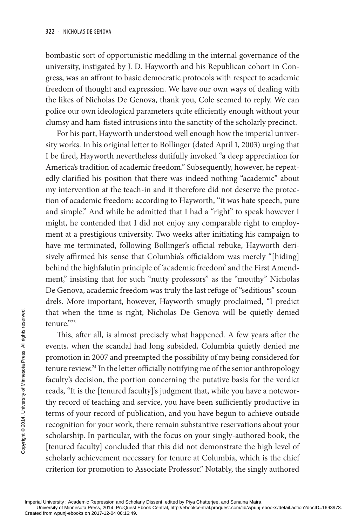bombastic sort of opportunistic meddling in the internal governance of the university, instigated by J. D. Hayworth and his Republican cohort in Congress, was an affront to basic democratic protocols with respect to academic freedom of thought and expression. We have our own ways of dealing with the likes of Nicholas De Genova, thank you, Cole seemed to reply. We can police our own ideological parameters quite efficiently enough without your clumsy and ham-fisted intrusions into the sanctity of the scholarly precinct.

For his part, Hayworth understood well enough how the imperial university works. In his original letter to Bollinger (dated April 1, 2003) urging that I be fired, Hayworth nevertheless dutifully invoked "a deep appreciation for America's tradition of academic freedom." Subsequently, however, he repeatedly clarified his position that there was indeed nothing "academic" about my intervention at the teach-in and it therefore did not deserve the protection of academic freedom: according to Hayworth, "it was hate speech, pure and simple." And while he admitted that I had a "right" to speak however I might, he contended that I did not enjoy any comparable right to employment at a prestigious university. Two weeks after initiating his campaign to have me terminated, following Bollinger's official rebuke, Hayworth derisively affirmed his sense that Columbia's officialdom was merely "[hiding] behind the highfalutin principle of 'academic freedom' and the First Amendment," insisting that for such "nutty professors" as the "mouthy" Nicholas De Genova, academic freedom was truly the last refuge of "seditious" scoundrels. More important, however, Hayworth smugly proclaimed, "I predict that when the time is right, Nicholas De Genova will be quietly denied tenure<sup>"23</sup>

This, after all, is almost precisely what happened. A few years after the events, when the scandal had long subsided, Columbia quietly denied me promotion in 2007 and preempted the possibility of my being considered for tenure review.24 In the letter officially notifying me of the senior anthropology faculty's decision, the portion concerning the putative basis for the verdict reads, "It is the [tenured faculty]'s judgment that, while you have a noteworthy record of teaching and service, you have been sufficiently productive in terms of your record of publication, and you have begun to achieve outside recognition for your work, there remain substantive reservations about your scholarship. In particular, with the focus on your singly-authored book, the [tenured faculty] concluded that this did not demonstrate the high level of scholarly achievement necessary for tenure at Columbia, which is the chief criterion for promotion to Associate Professor." Notably, the singly authored That when the time is rightarum<br>
Experimentation of the scandal hypromotion in 2007 and press.<br>
This, after all, is almost<br>
events, when the scandal hypromotion in 2007 and press<br>
tenure review.<sup>24</sup> In the letter<br>
faculty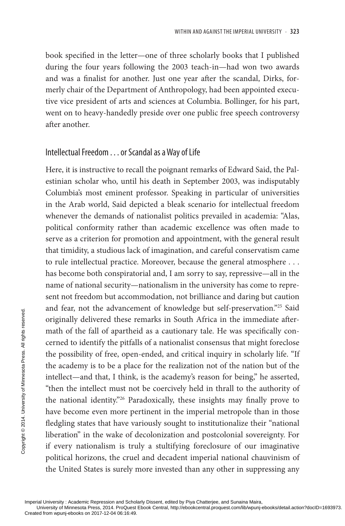book specified in the letter—one of three scholarly books that I published during the four years following the 2003 teach-in—had won two awards and was a finalist for another. Just one year after the scandal, Dirks, formerly chair of the Department of Anthropology, had been appointed executive vice president of arts and sciences at Columbia. Bollinger, for his part, went on to heavy-handedly preside over one public free speech controversy after another.

## Intellectual Freedom. . . or Scandal as a Way of Life

Here, it is instructive to recall the poignant remarks of Edward Said, the Palestinian scholar who, until his death in September 2003, was indisputably Columbia's most eminent professor. Speaking in particular of universities in the Arab world, Said depicted a bleak scenario for intellectual freedom whenever the demands of nationalist politics prevailed in academia: "Alas, political conformity rather than academic excellence was often made to serve as a criterion for promotion and appointment, with the general result that timidity, a studious lack of imagination, and careful conservatism came to rule intellectual practice. Moreover, because the general atmosphere . . . has become both conspiratorial and, I am sorry to say, repressive—all in the name of national security—nationalism in the university has come to represent not freedom but accommodation, not brilliance and daring but caution and fear, not the advancement of knowledge but self-preservation."25 Said originally delivered these remarks in South Africa in the immediate aftermath of the fall of apartheid as a cautionary tale. He was specifically concerned to identify the pitfalls of a nationalist consensus that might foreclose the possibility of free, open-ended, and critical inquiry in scholarly life. "If the academy is to be a place for the realization not of the nation but of the intellect—and that, I think, is the academy's reason for being," he asserted, "then the intellect must not be coercively held in thrall to the authority of the national identity."26 Paradoxically, these insights may finally prove to have become even more pertinent in the imperial metropole than in those fledgling states that have variously sought to institutionalize their "national liberation" in the wake of decolonization and postcolonial sovereignty. For if every nationalism is truly a stultifying foreclosure of our imaginative political horizons, the cruel and decadent imperial national chauvinism of the United States is surely more invested than any other in suppressing any Example 12. The model of the fall of aparthe<br>  $\frac{1}{2}$  created to identify the pitfal<br>
the possibility of free, open<br>
the academy is to be a plac<br>
intellect—and that, I think,<br>
"then the intellect must no<br>
the national i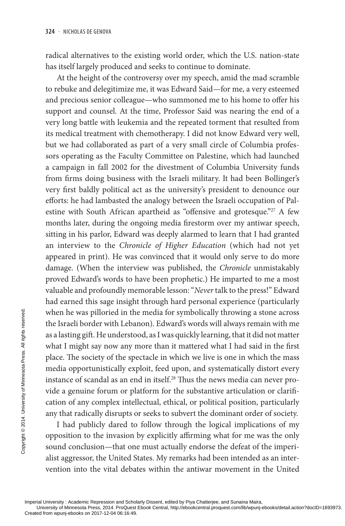radical alternatives to the existing world order, which the U.S. nation-state has itself largely produced and seeks to continue to dominate.

At the height of the controversy over my speech, amid the mad scramble to rebuke and delegitimize me, it was Edward Said—for me, a very esteemed and precious senior colleague—who summoned me to his home to offer his support and counsel. At the time, Professor Said was nearing the end of a very long battle with leukemia and the repeated torment that resulted from its medical treatment with chemotherapy. I did not know Edward very well, but we had collaborated as part of a very small circle of Columbia professors operating as the Faculty Committee on Palestine, which had launched a campaign in fall 2002 for the divestment of Columbia University funds from firms doing business with the Israeli military. It had been Bollinger's very first baldly political act as the university's president to denounce our efforts: he had lambasted the analogy between the Israeli occupation of Palestine with South African apartheid as "offensive and grotesque."<sup>27</sup> A few months later, during the ongoing media firestorm over my antiwar speech, sitting in his parlor, Edward was deeply alarmed to learn that I had granted an interview to the *Chronicle of Higher Education* (which had not yet appeared in print). He was convinced that it would only serve to do more damage. (When the interview was published, the *Chronicle* unmistakably proved Edward's words to have been prophetic.) He imparted to me a most valuable and profoundly memorable lesson: "*Never* talk to the press!" Edward had earned this sage insight through hard personal experience (particularly when he was pilloried in the media for symbolically throwing a stone across the Israeli border with Lebanon). Edward's words will always remain with me as a lasting gift. He understood, as I was quickly learning, that it did not matter what I might say now any more than it mattered what I had said in the first place. The society of the spectacle in which we live is one in which the mass media opportunistically exploit, feed upon, and systematically distort every instance of scandal as an end in itself.<sup>28</sup> Thus the news media can never provide a genuine forum or platform for the substantive articulation or clarification of any complex intellectual, ethical, or political position, particularly any that radically disrupts or seeks to subvert the dominant order of society. When he was pilloried in the the Israeli border with Leba<br>
as a lasting gift. He understo<br>
what I might say now any r<br>
place. The society of the speed<br>
media opportunistically exp<br>
instance of scandal as an envide a genui

I had publicly dared to follow through the logical implications of my opposition to the invasion by explicitly affirming what for me was the only sound conclusion—that one must actually endorse the defeat of the imperialist aggressor, the United States. My remarks had been intended as an intervention into the vital debates within the antiwar movement in the United

Imperial University : Academic Repression and Scholarly Dissent, edited by Piya Chatterjee, and Sunaina Maira,<br>16thiversity of Minnesota Press, 2014. ProQuest Ebook Central, http://ebookcentral.proquest.com/lib/wpunj-ebook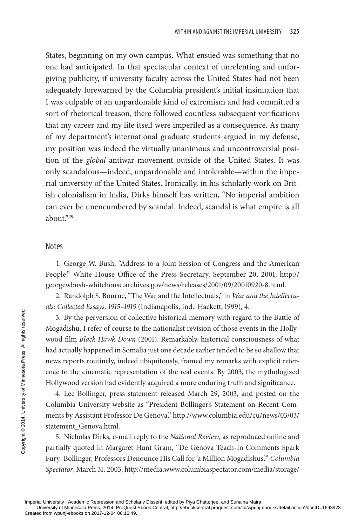States, beginning on my own campus. What ensued was something that no one had anticipated. In that spectacular context of unrelenting and unforgiving publicity, if university faculty across the United States had not been adequately forewarned by the Columbia president's initial insinuation that I was culpable of an unpardonable kind of extremism and had committed a sort of rhetorical treason, there followed countless subsequent verifications that my career and my life itself were imperiled as a consequence. As many of my department's international graduate students argued in my defense, my position was indeed the virtually unanimous and uncontroversial position of the *global* antiwar movement outside of the United States. It was only scandalous—indeed, unpardonable and intolerable—within the imperial university of the United States. Ironically, in his scholarly work on British colonialism in India, Dirks himself has written, "No imperial ambition can ever be unencumbered by scandal. Indeed, scandal is what empire is all about."29

#### Notes

1. George W. Bush, "Address to a Joint Session of Congress and the American People," White House Office of the Press Secretary, September 20, 2001, http:// georgewbush-whitehouse.archives.gov/news/releases/2001/09/20010920-8.html.

2. Randolph S. Bourne, "The War and the Intellectuals," in *War and the Intellectuals: Collected Essays, 1915–1919* (Indianapolis, Ind.: Hackett, 1999), 4.

3. By the perversion of collective historical memory with regard to the Battle of Mogadishu, I refer of course to the nationalist revision of those events in the Hollywood film *Black Hawk Down* (2001). Remarkably, historical consciousness of what had actually happened in Somalia just one decade earlier tended to be so shallow that news reports routinely, indeed ubiquitously, framed my remarks with explicit reference to the cinematic representation of the real events. By 2003, the mythologized Hollywood version had evidently acquired a more enduring truth and significance. Example 11 Monday 1 Across or Created from wpunj-ebooks on 2017-12-04 06:48-<br>
Created from wpunj-ebooks on 2017-12-04 06:46:49<br>
Created from wpunj-ebooks on 2017-12-04 06:46:49<br>
Created from wpunj-ebooks on 2017-12-04 06:4

4. Lee Bollinger, press statement released March 29, 2003, and posted on the Columbia University website as "President Bollinger's Statement on Recent Comments by Assistant Professor De Genova," http://www.columbia.edu/cu/news/03/03/ statement\_Genova.html.

5. Nicholas Dirks, e-mail reply to the *National Review*, as reproduced online and partially quoted in Margaret Hunt Gram, "De Genova Teach-In Comments Spark Fury: Bollinger, Professors Denounce His Call for 'a Million Mogadishus,'" *Columbia Spectator*, March 31, 2003, http://media.www.columbiaspectator.com/media/storage/

Imperial University : Academic Repression and Scholarly Dissent, edited by Piya Chatterjee, and Sunaina Maira,<br>16thiversity of Minnesota Press, 2014. ProQuest Ebook Central, http://ebookcentral.proquest.com/lib/wpunj-ebook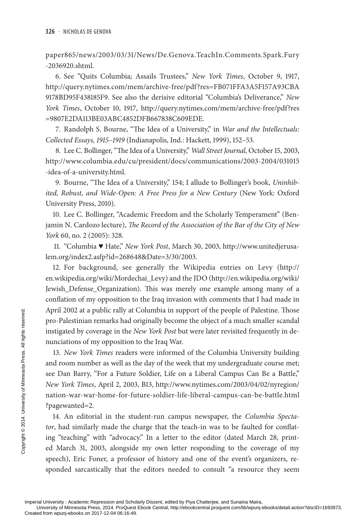paper865/news/2003/03/31/News/De.Genova.TeachIn.Comments.Spark.Fury -2036920.shtml.

6. See "Quits Columbia; Assails Trustees," *New York Times*, October 9, 1917, http://query.nytimes.com/mem/archive-free/pdf?res=FB071FFA3A5F157A93CBA 9178BD95F438185F9. See also the derisive editorial "Columbia's Deliverance," *New York Times*, October 10, 1917, http://query.nytimes.com/mem/archive-free/pdf?res =9807E2DA113BE03ABC4852DFB667838C609EDE.

7. Randolph S. Bourne, "The Idea of a University," in *War and the Intellectuals: Collected Essays, 1915–1919* (Indianapolis, Ind.: Hackett, 1999), 152–53.

8. Lee C. Bollinger, "The Idea of a University," *Wall Street Journal*, October 15, 2003, http://www.columbia.edu/cu/president/docs/communications/2003-2004/031015 -idea-of-a-university.html.

9. Bourne, "The Idea of a University," 154; I allude to Bollinger's book, *Uninhibited, Robust, and Wide-Open: A Free Press for a New Century* (New York: Oxford University Press, 2010).

10. Lee C. Bollinger, "Academic Freedom and the Scholarly Temperament" (Benjamin N. Cardozo lecture), *The Record of the Association of the Bar of the City of New York* 60, no. 2 (2005): 328.

11. "Columbia **♥** Hate," *New York Post*, March 30, 2003, http://www.unitedjerusalem.org/index2.asfp?id=268648&Date=3/30/2003.

12. For background, see generally the Wikipedia entries on Levy (http:// en.wikipedia.org/wiki/Mordechai\_Levy) and the JDO (http://en.wikipedia.org/wiki/ Jewish\_Defense\_Organization). This was merely one example among many of a conflation of my opposition to the Iraq invasion with comments that I had made in April 2002 at a public rally at Columbia in support of the people of Palestine. Those pro-Palestinian remarks had originally become the object of a much smaller scandal instigated by coverage in the *New York Post* but were later revisited frequently in denunciations of my opposition to the Iraq War.

13. *New York Times* readers were informed of the Columbia University building and room number as well as the day of the week that my undergraduate course met; see Dan Barry, "For a Future Soldier, Life on a Liberal Campus Can Be a Battle," *New York Times*, April 2, 2003, B13, http://www.nytimes.com/2003/04/02/nyregion/ nation-war-war-home-for-future-soldier-life-liberal-campus-can-be-battle.html ?pagewanted=2.

14. An editorial in the student-run campus newspaper, the *Columbia Spectator*, had similarly made the charge that the teach-in was to be faulted for conflating "teaching" with "advocacy." In a letter to the editor (dated March 28, printed March 31, 2003, alongside my own letter responding to the coverage of my speech), Eric Foner, a professor of history and one of the event's organizers, responded sarcastically that the editors needed to consult "a resource they seem Example 12002 at a public rally at d<br>
pro-Palestinian remarks had o<br>
instigated by coverage in the  $N$ <br>
nunciations of my opposition 1<br>
13. *New York Times* readers<br>
and room number as well as the<br>
see Dan Barry, "For a F

Imperial University : Academic Repression and Scholarly Dissent, edited by Piya Chatterjee, and Sunaina Maira,

University of Minnesota Press, 2014. ProQuest Ebook Central, http://ebookcentral.proquest.com/lib/wpunj-ebooks/detail.action?docID=16<br>Created from wpunj-ebooks on 2017-12-04 06:16:49.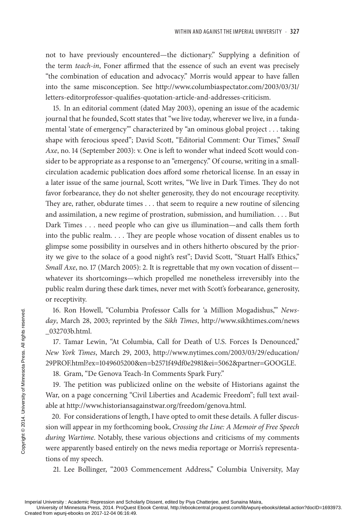not to have previously encountered—the dictionary." Supplying a definition of the term *teach-in*, Foner affirmed that the essence of such an event was precisely "the combination of education and advocacy." Morris would appear to have fallen into the same misconception. See http://www.columbiaspectator.com/2003/03/31/ letters-editorprofessor-qualifies-quotation-article-and-addresses-criticism.

15. In an editorial comment (dated May 2003), opening an issue of the academic journal that he founded, Scott states that "we live today, wherever we live, in a fundamental 'state of emergency'" characterized by "an ominous global project . . . taking shape with ferocious speed"; David Scott, "Editorial Comment: Our Times," *Small Axe*, no. 14 (September 2003): v. One is left to wonder what indeed Scott would consider to be appropriate as a response to an "emergency." Of course, writing in a smallcirculation academic publication does afford some rhetorical license. In an essay in a later issue of the same journal, Scott writes, "We live in Dark Times. They do not favor forbearance, they do not shelter generosity, they do not encourage receptivity. They are, rather, obdurate times . . . that seem to require a new routine of silencing and assimilation, a new regime of prostration, submission, and humiliation. . . . But Dark Times . . . need people who can give us illumination—and calls them forth into the public realm. . . . They are people whose vocation of dissent enables us to glimpse some possibility in ourselves and in others hitherto obscured by the priority we give to the solace of a good night's rest"; David Scott, "Stuart Hall's Ethics," *Small Axe*, no. 17 (March 2005): 2. It is regrettable that my own vocation of dissent whatever its shortcomings—which propelled me nonetheless irreversibly into the public realm during these dark times, never met with Scott's forbearance, generosity, or receptivity.

16. Ron Howell, "Columbia Professor Calls for 'a Million Mogadishus,'" *Newsday*, March 28, 2003; reprinted by the *Sikh Times*, http://www.sikhtimes.com/news \_032703b.html.

17. Tamar Lewin, "At Columbia, Call for Death of U.S. Forces Is Denounced," *New York Times*, March 29, 2003, http://www.nytimes.com/2003/03/29/education/ 29PROF.html?ex=1049605200&en=b2571f49df0e2981&ei=5062&partner=GOOGLE.

18. Gram, "De Genova Teach-In Comments Spark Fury."

19. The petition was publicized online on the website of Historians against the War, on a page concerning "Civil Liberties and Academic Freedom"; full text available at http://www.historiansagainstwar.org/freedom/genova.html.

20. For considerations of length, I have opted to omit these details. A fuller discussion will appear in my forthcoming book, *Crossing the Line: A Memoir of Free Speech during Wartime*. Notably, these various objections and criticisms of my comments were apparently based entirely on the news media reportage or Morris's representations of my speech. The Equal of Minnesota Press. 2014. Previously, the Work Times, March 29, 2<br>
29PROF-html?ex=10496052008<br>
18. Gram, "De Genova Tead<br>
19. The petition was public<br>
War, on a page concerning "C<br>
able at http://www.historiansa

21. Lee Bollinger, "2003 Commencement Address," Columbia University, May